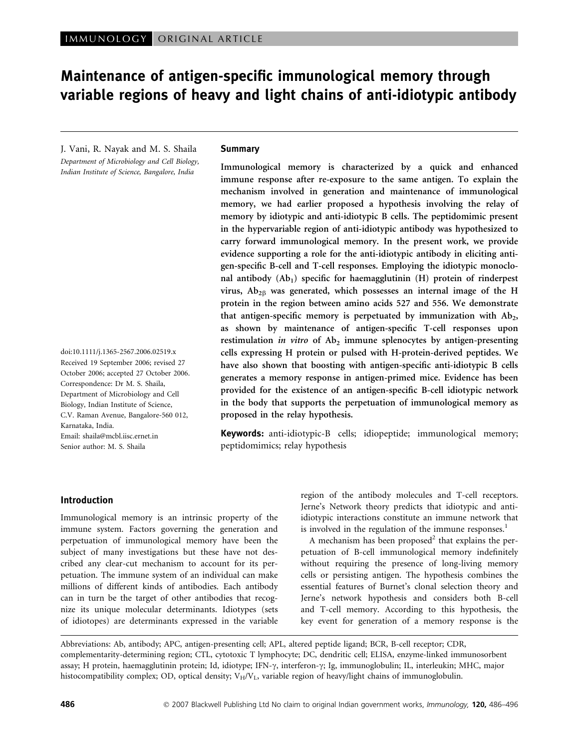# Maintenance of antigen-specific immunological memory through variable regions of heavy and light chains of anti-idiotypic antibody

J. Vani, R. Nayak and M. S. Shaila Department of Microbiology and Cell Biology, Indian Institute of Science, Bangalore, India

doi:10.1111/j.1365-2567.2006.02519.x Received 19 September 2006; revised 27 October 2006; accepted 27 October 2006. Correspondence: Dr M. S. Shaila, Department of Microbiology and Cell Biology, Indian Institute of Science, C.V. Raman Avenue, Bangalore-560 012, Summary

Immunological memory is characterized by a quick and enhanced immune response after re-exposure to the same antigen. To explain the mechanism involved in generation and maintenance of immunological memory, we had earlier proposed a hypothesis involving the relay of memory by idiotypic and anti-idiotypic B cells. The peptidomimic present in the hypervariable region of anti-idiotypic antibody was hypothesized to carry forward immunological memory. In the present work, we provide evidence supporting a role for the anti-idiotypic antibody in eliciting antigen-specific B-cell and T-cell responses. Employing the idiotypic monoclonal antibody  $(Ab<sub>1</sub>)$  specific for haemagglutinin  $(H)$  protein of rinderpest virus,  $Ab_{26}$  was generated, which possesses an internal image of the H protein in the region between amino acids 527 and 556. We demonstrate that antigen-specific memory is perpetuated by immunization with  $Ab_2$ , as shown by maintenance of antigen-specific T-cell responses upon restimulation in vitro of  $Ab_2$  immune splenocytes by antigen-presenting cells expressing H protein or pulsed with H-protein-derived peptides. We have also shown that boosting with antigen-specific anti-idiotypic B cells generates a memory response in antigen-primed mice. Evidence has been provided for the existence of an antigen-specific B-cell idiotypic network in the body that supports the perpetuation of immunological memory as proposed in the relay hypothesis.

Keywords: anti-idiotypic-B cells; idiopeptide; immunological memory; peptidomimics; relay hypothesis

## Introduction

Karnataka, India.

Email: shaila@mcbl.iisc.ernet.in Senior author: M. S. Shaila

Immunological memory is an intrinsic property of the immune system. Factors governing the generation and perpetuation of immunological memory have been the subject of many investigations but these have not described any clear-cut mechanism to account for its perpetuation. The immune system of an individual can make millions of different kinds of antibodies. Each antibody can in turn be the target of other antibodies that recognize its unique molecular determinants. Idiotypes (sets of idiotopes) are determinants expressed in the variable region of the antibody molecules and T-cell receptors. Jerne's Network theory predicts that idiotypic and antiidiotypic interactions constitute an immune network that is involved in the regulation of the immune responses.<sup>1</sup>

A mechanism has been proposed<sup>2</sup> that explains the perpetuation of B-cell immunological memory indefinitely without requiring the presence of long-living memory cells or persisting antigen. The hypothesis combines the essential features of Burnet's clonal selection theory and Jerne's network hypothesis and considers both B-cell and T-cell memory. According to this hypothesis, the key event for generation of a memory response is the

Abbreviations: Ab, antibody; APC, antigen-presenting cell; APL, altered peptide ligand; BCR, B-cell receptor; CDR, complementarity-determining region; CTL, cytotoxic T lymphocyte; DC, dendritic cell; ELISA, enzyme-linked immunosorbent assay; H protein, haemagglutinin protein; Id, idiotype; IFN- $\gamma$ , interferon- $\gamma$ ; Ig, immunoglobulin; IL, interleukin; MHC, major histocompatibility complex; OD, optical density;  $V_H/V_L$ , variable region of heavy/light chains of immunoglobulin.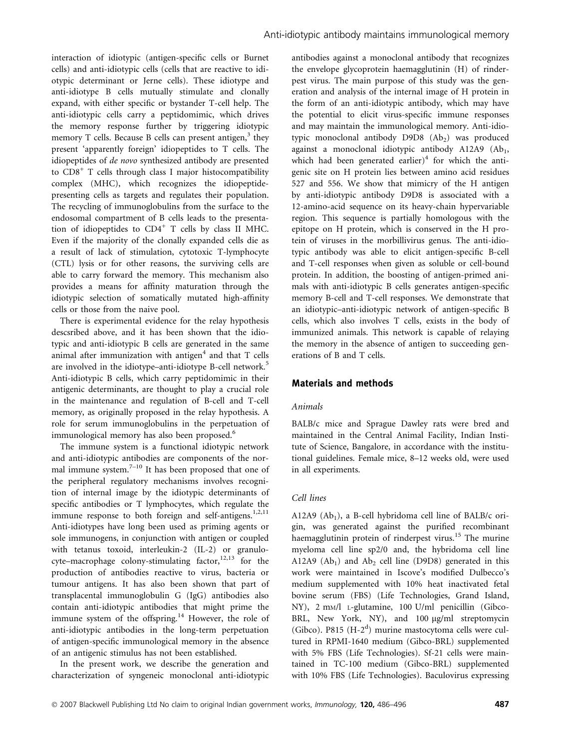interaction of idiotypic (antigen-specific cells or Burnet cells) and anti-idiotypic cells (cells that are reactive to idiotypic determinant or Jerne cells). These idiotype and anti-idiotype B cells mutually stimulate and clonally expand, with either specific or bystander T-cell help. The anti-idiotypic cells carry a peptidomimic, which drives the memory response further by triggering idiotypic memory T cells. Because B cells can present antigen,<sup>3</sup> they present 'apparently foreign' idiopeptides to T cells. The idiopeptides of de novo synthesized antibody are presented to CD8<sup>+</sup> T cells through class I major histocompatibility complex (MHC), which recognizes the idiopeptidepresenting cells as targets and regulates their population. The recycling of immunoglobulins from the surface to the endosomal compartment of B cells leads to the presentation of idiopeptides to CD4<sup>+</sup> T cells by class II MHC. Even if the majority of the clonally expanded cells die as a result of lack of stimulation, cytotoxic T-lymphocyte (CTL) lysis or for other reasons, the surviving cells are able to carry forward the memory. This mechanism also provides a means for affinity maturation through the idiotypic selection of somatically mutated high-affinity cells or those from the naive pool.

There is experimental evidence for the relay hypothesis descsribed above, and it has been shown that the idiotypic and anti-idiotypic B cells are generated in the same animal after immunization with antigen $4$  and that T cells are involved in the idiotype–anti-idiotype B-cell network.<sup>5</sup> Anti-idiotypic B cells, which carry peptidomimic in their antigenic determinants, are thought to play a crucial role in the maintenance and regulation of B-cell and T-cell memory, as originally proposed in the relay hypothesis. A role for serum immunoglobulins in the perpetuation of immunological memory has also been proposed.<sup>6</sup>

The immune system is a functional idiotypic network and anti-idiotypic antibodies are components of the normal immune system. $7-10$  It has been proposed that one of the peripheral regulatory mechanisms involves recognition of internal image by the idiotypic determinants of specific antibodies or T lymphocytes, which regulate the immune response to both foreign and self-antigens. $1,2,11$ Anti-idiotypes have long been used as priming agents or sole immunogens, in conjunction with antigen or coupled with tetanus toxoid, interleukin-2 (IL-2) or granulocyte–macrophage colony-stimulating factor, $12,13$  for the production of antibodies reactive to virus, bacteria or tumour antigens. It has also been shown that part of transplacental immunoglobulin G (IgG) antibodies also contain anti-idiotypic antibodies that might prime the immune system of the offspring.<sup>14</sup> However, the role of anti-idiotypic antibodies in the long-term perpetuation of antigen-specific immunological memory in the absence of an antigenic stimulus has not been established.

In the present work, we describe the generation and characterization of syngeneic monoclonal anti-idiotypic antibodies against a monoclonal antibody that recognizes the envelope glycoprotein haemagglutinin (H) of rinderpest virus. The main purpose of this study was the generation and analysis of the internal image of H protein in the form of an anti-idiotypic antibody, which may have the potential to elicit virus-specific immune responses and may maintain the immunological memory. Anti-idiotypic monoclonal antibody  $D9D8$   $(Ab<sub>2</sub>)$  was produced against a monoclonal idiotypic antibody A12A9 (Ab<sub>1</sub>, which had been generated earlier) $4$  for which the antigenic site on H protein lies between amino acid residues 527 and 556. We show that mimicry of the H antigen by anti-idiotypic antibody D9D8 is associated with a 12-amino-acid sequence on its heavy-chain hypervariable region. This sequence is partially homologous with the epitope on H protein, which is conserved in the H protein of viruses in the morbillivirus genus. The anti-idiotypic antibody was able to elicit antigen-specific B-cell and T-cell responses when given as soluble or cell-bound protein. In addition, the boosting of antigen-primed animals with anti-idiotypic B cells generates antigen-specific memory B-cell and T-cell responses. We demonstrate that an idiotypic–anti-idiotypic network of antigen-specific B cells, which also involves T cells, exists in the body of immunized animals. This network is capable of relaying the memory in the absence of antigen to succeeding generations of B and T cells.

# Materials and methods

## Animals

BALB/c mice and Sprague Dawley rats were bred and maintained in the Central Animal Facility, Indian Institute of Science, Bangalore, in accordance with the institutional guidelines. Female mice, 8–12 weeks old, were used in all experiments.

## Cell lines

A12A9  $(Ab<sub>1</sub>)$ , a B-cell hybridoma cell line of BALB/c origin, was generated against the purified recombinant haemagglutinin protein of rinderpest virus.<sup>15</sup> The murine myeloma cell line sp2/0 and, the hybridoma cell line A12A9  $(Ab<sub>1</sub>)$  and  $Ab<sub>2</sub>$  cell line (D9D8) generated in this work were maintained in Iscove's modified Dulbecco's medium supplemented with 10% heat inactivated fetal bovine serum (FBS) (Life Technologies, Grand Island, NY), 2 mM/l <sup>L</sup>-glutamine, 100 U/ml penicillin (Gibco-BRL, New York, NY), and 100 µg/ml streptomycin (Gibco). P815 (H-2<sup>d</sup>) murine mastocytoma cells were cultured in RPMI-1640 medium (Gibco-BRL) supplemented with 5% FBS (Life Technologies). Sf-21 cells were maintained in TC-100 medium (Gibco-BRL) supplemented with 10% FBS (Life Technologies). Baculovirus expressing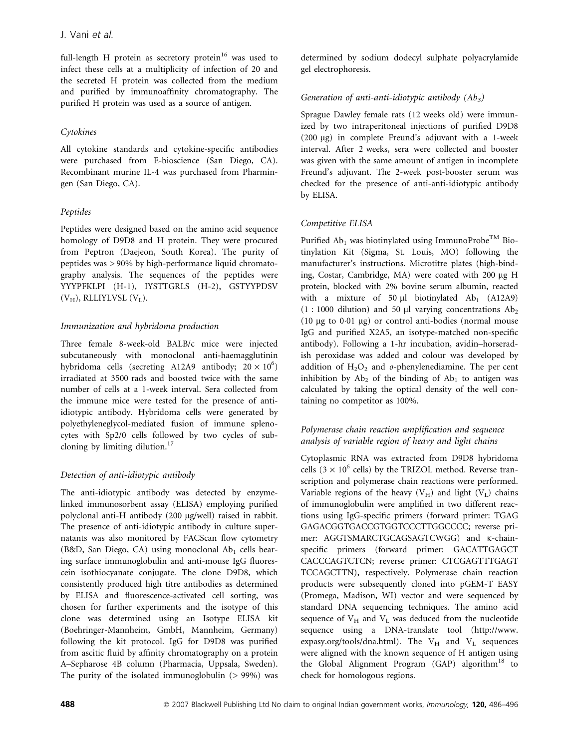full-length H protein as secretory protein<sup>16</sup> was used to infect these cells at a multiplicity of infection of 20 and the secreted H protein was collected from the medium and purified by immunoaffinity chromatography. The purified H protein was used as a source of antigen.

# Cytokines

All cytokine standards and cytokine-specific antibodies were purchased from E-bioscience (San Diego, CA). Recombinant murine IL-4 was purchased from Pharmingen (San Diego, CA).

# Peptides

Peptides were designed based on the amino acid sequence homology of D9D8 and H protein. They were procured from Peptron (Daejeon, South Korea). The purity of peptides was > 90% by high-performance liquid chromatography analysis. The sequences of the peptides were YYYPFKLPI (H-1), IYSTTGRLS (H-2), GSTYYPDSV  $(V_H)$ , RLLIYLVSL  $(V_L)$ .

# Immunization and hybridoma production

Three female 8-week-old BALB/c mice were injected subcutaneously with monoclonal anti-haemagglutinin hybridoma cells (secreting A12A9 antibody;  $20 \times 10^6$ ) irradiated at 3500 rads and boosted twice with the same number of cells at a 1-week interval. Sera collected from the immune mice were tested for the presence of antiidiotypic antibody. Hybridoma cells were generated by polyethyleneglycol-mediated fusion of immune splenocytes with Sp2/0 cells followed by two cycles of subcloning by limiting dilution.<sup>17</sup>

# Detection of anti-idiotypic antibody

The anti-idiotypic antibody was detected by enzymelinked immunosorbent assay (ELISA) employing purified polyclonal anti-H antibody (200 µg/well) raised in rabbit. The presence of anti-idiotypic antibody in culture supernatants was also monitored by FACScan flow cytometry (B&D, San Diego, CA) using monoclonal  $Ab<sub>1</sub>$  cells bearing surface immunoglobulin and anti-mouse IgG fluorescein isothiocyanate conjugate. The clone D9D8, which consistently produced high titre antibodies as determined by ELISA and fluorescence-activated cell sorting, was chosen for further experiments and the isotype of this clone was determined using an Isotype ELISA kit (Boehringer-Mannheim, GmbH, Mannheim, Germany) following the kit protocol. IgG for D9D8 was purified from ascitic fluid by affinity chromatography on a protein A–Sepharose 4B column (Pharmacia, Uppsala, Sweden). The purity of the isolated immunoglobulin (> 99%) was determined by sodium dodecyl sulphate polyacrylamide gel electrophoresis.

# Generation of anti-anti-idiotypic antibody  $(Ab<sub>3</sub>)$

Sprague Dawley female rats (12 weeks old) were immunized by two intraperitoneal injections of purified D9D8 (200  $\mu$ g) in complete Freund's adjuvant with a 1-week interval. After 2 weeks, sera were collected and booster was given with the same amount of antigen in incomplete Freund's adjuvant. The 2-week post-booster serum was checked for the presence of anti-anti-idiotypic antibody by ELISA.

# Competitive ELISA

Purified Ab<sub>1</sub> was biotinylated using ImmunoProbe<sup>TM</sup> Biotinylation Kit (Sigma, St. Louis, MO) following the manufacturer's instructions. Microtitre plates (high-binding, Costar, Cambridge, MA) were coated with 200 µg H protein, blocked with 2% bovine serum albumin, reacted with a mixture of 50  $\mu$ l biotinylated Ab<sub>1</sub> (A12A9)  $(1: 1000$  dilution) and 50 µl varying concentrations Ab<sub>2</sub> (10 lg to 0-01 lg) or control anti-bodies (normal mouse IgG and purified X2A5, an isotype-matched non-specific antibody). Following a 1-hr incubation, avidin–horseradish peroxidase was added and colour was developed by addition of  $H_2O_2$  and *o*-phenylenediamine. The per cent inhibition by  $Ab_2$  of the binding of  $Ab_1$  to antigen was calculated by taking the optical density of the well containing no competitor as 100%.

# Polymerase chain reaction amplification and sequence analysis of variable region of heavy and light chains

Cytoplasmic RNA was extracted from D9D8 hybridoma cells ( $3 \times 10^6$  cells) by the TRIZOL method. Reverse transcription and polymerase chain reactions were performed. Variable regions of the heavy  $(V_H)$  and light  $(V_L)$  chains of immunoglobulin were amplified in two different reactions using IgG-specific primers (forward primer: TGAG GAGACGGTGACCGTGGTCCCTTGGCCCC; reverse primer: AGGTSMARCTGCAGSAGTCWGG) and K-chainspecific primers (forward primer: GACATTGAGCT CACCCAGTCTCN; reverse primer: CTCGAGTTTGAGT TCCAGCTTN), respectively. Polymerase chain reaction products were subsequently cloned into pGEM-T EASY (Promega, Madison, WI) vector and were sequenced by standard DNA sequencing techniques. The amino acid sequence of  $V_H$  and  $V_L$  was deduced from the nucleotide sequence using a DNA-translate tool (http://www. expasy.org/tools/dna.html). The  $V_H$  and  $V_L$  sequences were aligned with the known sequence of H antigen using the Global Alignment Program  $(GAP)$  algorithm<sup>18</sup> to check for homologous regions.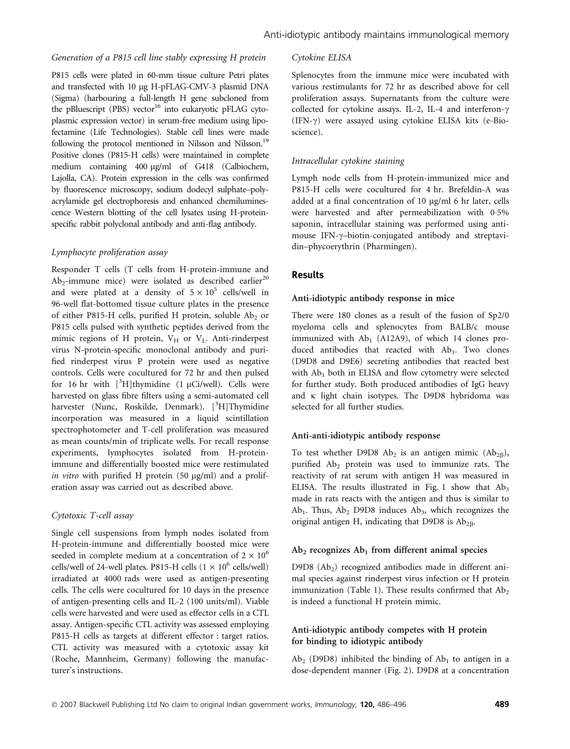### Generation of a P815 cell line stably expressing H protein

P815 cells were plated in 60-mm tissue culture Petri plates and transfected with 10 µg H-pFLAG-CMV-3 plasmid DNA (Sigma) (harbouring a full-length H gene subcloned from the pBluescript (PBS) vector<sup>16</sup> into eukaryotic pFLAG cytoplasmic expression vector) in serum-free medium using lipofectamine (Life Technologies). Stable cell lines were made following the protocol mentioned in Nilsson and Nilsson.<sup>19</sup> Positive clones (P815-H cells) were maintained in complete medium containing 400 µg/ml of G418 (Calbiochem, Lajolla, CA). Protein expression in the cells was confirmed by fluorescence microscopy, sodium dodecyl sulphate–polyacrylamide gel electrophoresis and enhanced chemiluminescence Western blotting of the cell lysates using H-proteinspecific rabbit polyclonal antibody and anti-flag antibody.

## Lymphocyte proliferation assay

Responder T cells (T cells from H-protein-immune and  $Ab_2$ -immune mice) were isolated as described earlier<sup>20</sup> and were plated at a density of  $5 \times 10^5$  cells/well in 96-well flat-bottomed tissue culture plates in the presence of either P815-H cells, purified H protein, soluble Ab<sub>2</sub> or P815 cells pulsed with synthetic peptides derived from the mimic regions of H protein,  $V_H$  or  $V_L$ . Anti-rinderpest virus N-protein-specific monoclonal antibody and purified rinderpest virus P protein were used as negative controls. Cells were cocultured for 72 hr and then pulsed for 16 hr with  $[{}^{3}H]$ thymidine (1 µCi/well). Cells were harvested on glass fibre filters using a semi-automated cell harvester (Nunc, Roskilde, Denmark). [<sup>3</sup>H]Thymidine incorporation was measured in a liquid scintillation spectrophotometer and T-cell proliferation was measured as mean counts/min of triplicate wells. For recall response experiments, lymphocytes isolated from H-proteinimmune and differentially boosted mice were restimulated in vitro with purified H protein (50  $\mu$ g/ml) and a proliferation assay was carried out as described above.

#### Cytotoxic T-cell assay

Single cell suspensions from lymph nodes isolated from H-protein-immune and differentially boosted mice were seeded in complete medium at a concentration of  $2 \times 10^6$ cells/well of 24-well plates. P815-H cells  $(1 \times 10^6 \text{ cells/well})$ irradiated at 4000 rads were used as antigen-presenting cells. The cells were cocultured for 10 days in the presence of antigen-presenting cells and IL-2 (100 units/ml). Viable cells were harvested and were used as effector cells in a CTL assay. Antigen-specific CTL activity was assessed employing P815-H cells as targets at different effector : target ratios. CTL activity was measured with a cytotoxic assay kit (Roche, Mannheim, Germany) following the manufacturer's instructions.

Cytokine ELISA

Splenocytes from the immune mice were incubated with various restimulants for 72 hr as described above for cell proliferation assays. Supernatants from the culture were collected for cytokine assays. IL-2, IL-4 and interferon- $\gamma$ (IFN- $\gamma$ ) were assayed using cytokine ELISA kits (e-Bioscience).

## Intracellular cytokine staining

Lymph node cells from H-protein-immunized mice and P815-H cells were cocultured for 4 hr. Brefeldin-A was added at a final concentration of 10  $\mu$ g/ml 6 hr later, cells were harvested and after permeabilization with 0-5% saponin, intracellular staining was performed using antimouse IFN- $\gamma$ -biotin-conjugated antibody and streptavidin–phycoerythrin (Pharmingen).

# Results

#### Anti-idiotypic antibody response in mice

There were 180 clones as a result of the fusion of Sp2/0 myeloma cells and splenocytes from BALB/c mouse immunized with  $Ab<sub>1</sub>$  (A12A9), of which 14 clones produced antibodies that reacted with  $Ab<sub>1</sub>$ . Two clones (D9D8 and D9E6) secreting antibodies that reacted best with  $Ab<sub>1</sub>$  both in ELISA and flow cytometry were selected for further study. Both produced antibodies of IgG heavy and  $\kappa$  light chain isotypes. The D9D8 hybridoma was selected for all further studies.

#### Anti-anti-idiotypic antibody response

To test whether D9D8  $Ab_2$  is an antigen mimic  $(Ab_{2\beta})$ , purified Ab<sub>2</sub> protein was used to immunize rats. The reactivity of rat serum with antigen H was measured in ELISA. The results illustrated in Fig. 1 show that  $Ab_3$ made in rats reacts with the antigen and thus is similar to  $Ab<sub>1</sub>$ . Thus,  $Ab<sub>2</sub>$  D9D8 induces  $Ab<sub>3</sub>$ , which recognizes the original antigen H, indicating that D9D8 is  $Ab_{2B}$ .

# $Ab<sub>2</sub>$  recognizes  $Ab<sub>1</sub>$  from different animal species

D9D8  $(Ab<sub>2</sub>)$  recognized antibodies made in different animal species against rinderpest virus infection or H protein immunization (Table 1). These results confirmed that  $Ab<sub>2</sub>$ is indeed a functional H protein mimic.

# Anti-idiotypic antibody competes with H protein for binding to idiotypic antibody

 $Ab_2$  (D9D8) inhibited the binding of  $Ab_1$  to antigen in a dose-dependent manner (Fig. 2). D9D8 at a concentration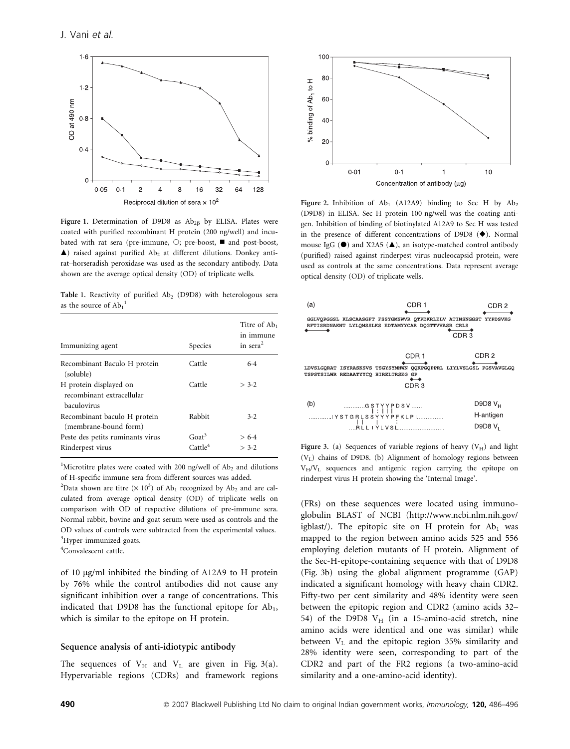

Figure 1. Determination of D9D8 as  $Ab_{2B}$  by ELISA. Plates were coated with purified recombinant H protein (200 ng/well) and incubated with rat sera (pre-immune,  $\bigcirc$ ; pre-boost,  $\blacksquare$  and post-boost,  $\blacktriangle$ ) raised against purified Ab<sub>2</sub> at different dilutions. Donkey antirat–horseradish peroxidase was used as the secondary antibody. Data shown are the average optical density (OD) of triplicate wells.

Table 1. Reactivity of purified  $Ab$ , (D9D8) with heterologous sera as the source of  $Ab_1^1$ 

| Immunizing agent                                                   | Species                                        | Titre of $Ab1$<br>in immune<br>in $sera2$ |
|--------------------------------------------------------------------|------------------------------------------------|-------------------------------------------|
| Recombinant Baculo H protein<br>(soluble)                          | Cattle                                         | 6.4                                       |
| H protein displayed on<br>recombinant extracellular<br>baculovirus | Cattle                                         | > 3.2                                     |
| Recombinant baculo H protein<br>(membrane-bound form)              | Rabbit                                         | 3.2                                       |
| Peste des petits ruminants virus<br>Rinderpest virus               | $G$ oat <sup>3</sup><br>$C$ attle <sup>4</sup> | > 6.4<br>> 3.2                            |

<sup>1</sup>Microtitre plates were coated with 200 ng/well of  $Ab<sub>2</sub>$  and dilutions of H-specific immune sera from different sources was added.

<sup>2</sup>Data shown are titre ( $\times$  10<sup>3</sup>) of Ab<sub>1</sub> recognized by Ab<sub>2</sub> and are calculated from average optical density (OD) of triplicate wells on comparison with OD of respective dilutions of pre-immune sera. Normal rabbit, bovine and goat serum were used as controls and the OD values of controls were subtracted from the experimental values. <sup>3</sup>Hyper-immunized goats.

<sup>4</sup>Convalescent cattle.

of 10 µg/ml inhibited the binding of A12A9 to H protein by 76% while the control antibodies did not cause any significant inhibition over a range of concentrations. This indicated that D9D8 has the functional epitope for  $Ab<sub>1</sub>$ , which is similar to the epitope on H protein.

## Sequence analysis of anti-idiotypic antibody

The sequences of  $V_H$  and  $V_L$  are given in Fig. 3(a). Hypervariable regions (CDRs) and framework regions



Figure 2. Inhibition of Ab<sub>1</sub> (A12A9) binding to Sec H by Ab<sub>2</sub> (D9D8) in ELISA. Sec H protein 100 ng/well was the coating antigen. Inhibition of binding of biotinylated A12A9 to Sec H was tested in the presence of different concentrations of D9D8  $(\blacklozenge)$ . Normal mouse IgG ( $\bullet$ ) and X2A5 ( $\blacktriangle$ ), an isotype-matched control antibody (purified) raised against rinderpest virus nucleocapsid protein, were used as controls at the same concentrations. Data represent average optical density (OD) of triplicate wells.



Figure 3. (a) Sequences of variable regions of heavy  $(V_H)$  and light  $(V<sub>L</sub>)$  chains of D9D8. (b) Alignment of homology regions between VH/V<sup>L</sup> sequences and antigenic region carrying the epitope on rinderpest virus H protein showing the 'Internal Image'.

(FRs) on these sequences were located using immunoglobulin BLAST of NCBI (http://www.ncbi.nlm.nih.gov/ igblast/). The epitopic site on H protein for  $Ab<sub>1</sub>$  was mapped to the region between amino acids 525 and 556 employing deletion mutants of H protein. Alignment of the Sec-H-epitope-containing sequence with that of D9D8 (Fig. 3b) using the global alignment programme (GAP) indicated a significant homology with heavy chain CDR2. Fifty-two per cent similarity and 48% identity were seen between the epitopic region and CDR2 (amino acids 32– 54) of the D9D8  $V_H$  (in a 15-amino-acid stretch, nine amino acids were identical and one was similar) while between  $V<sub>L</sub>$  and the epitopic region 35% similarity and 28% identity were seen, corresponding to part of the CDR2 and part of the FR2 regions (a two-amino-acid similarity and a one-amino-acid identity).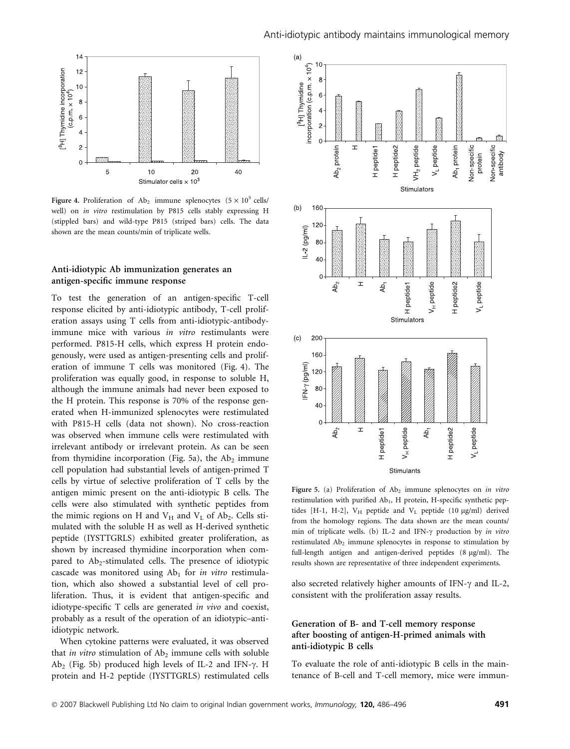

Figure 4. Proliferation of  $Ab_2$  immune splenocytes  $(5 \times 10^5 \text{ cells})$ well) on in vitro restimulation by P815 cells stably expressing H (stippled bars) and wild-type P815 (striped bars) cells. The data shown are the mean counts/min of triplicate wells.

## Anti-idiotypic Ab immunization generates an antigen-specific immune response

To test the generation of an antigen-specific T-cell response elicited by anti-idiotypic antibody, T-cell proliferation assays using T cells from anti-idiotypic-antibodyimmune mice with various in vitro restimulants were performed. P815-H cells, which express H protein endogenously, were used as antigen-presenting cells and proliferation of immune T cells was monitored (Fig. 4). The proliferation was equally good, in response to soluble H, although the immune animals had never been exposed to the H protein. This response is 70% of the response generated when H-immunized splenocytes were restimulated with P815-H cells (data not shown). No cross-reaction was observed when immune cells were restimulated with irrelevant antibody or irrelevant protein. As can be seen from thymidine incorporation (Fig. 5a), the  $Ab_2$  immune cell population had substantial levels of antigen-primed T cells by virtue of selective proliferation of T cells by the antigen mimic present on the anti-idiotypic B cells. The cells were also stimulated with synthetic peptides from the mimic regions on H and  $V_H$  and  $V_L$  of Ab<sub>2</sub>. Cells stimulated with the soluble H as well as H-derived synthetic peptide (IYSTTGRLS) exhibited greater proliferation, as shown by increased thymidine incorporation when compared to  $Ab_2$ -stimulated cells. The presence of idiotypic cascade was monitored using  $Ab_1$  for in vitro restimulation, which also showed a substantial level of cell proliferation. Thus, it is evident that antigen-specific and idiotype-specific T cells are generated in vivo and coexist, probably as a result of the operation of an idiotypic–antiidiotypic network.

When cytokine patterns were evaluated, it was observed that *in vitro* stimulation of  $Ab_2$  immune cells with soluble Ab<sub>2</sub> (Fig. 5b) produced high levels of IL-2 and IFN- $\gamma$ . H protein and H-2 peptide (IYSTTGRLS) restimulated cells



Figure 5. (a) Proliferation of  $Ab<sub>2</sub>$  immune splenocytes on in vitro restimulation with purified Ab<sub>1</sub>, H protein, H-specific synthetic peptides [H-1, H-2],  $V_H$  peptide and  $V_L$  peptide (10  $\mu$ g/ml) derived from the homology regions. The data shown are the mean counts/ min of triplicate wells. (b) IL-2 and IFN- $\gamma$  production by in vitro restimulated Ab<sub>2</sub> immune splenocytes in response to stimulation by full-length antigen and antigen-derived peptides (8 µg/ml). The results shown are representative of three independent experiments.

also secreted relatively higher amounts of IFN- $\gamma$  and IL-2, consistent with the proliferation assay results.

# Generation of B- and T-cell memory response after boosting of antigen-H-primed animals with anti-idiotypic B cells

To evaluate the role of anti-idiotypic B cells in the maintenance of B-cell and T-cell memory, mice were immun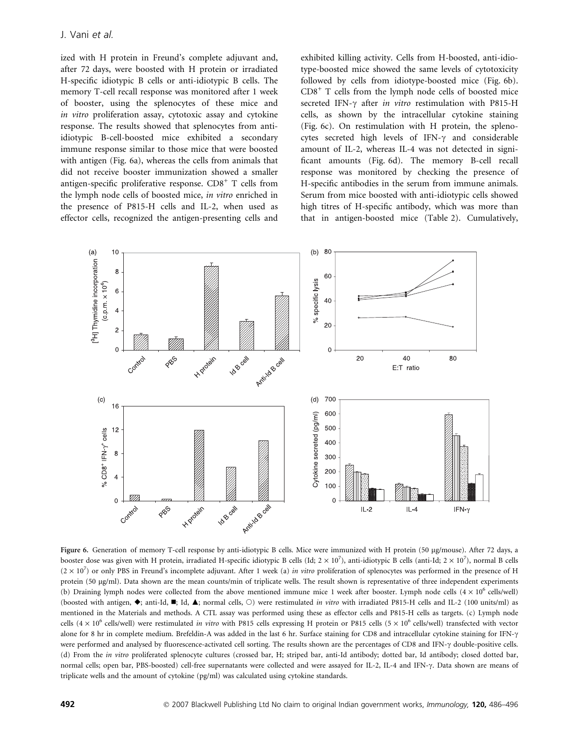ized with H protein in Freund's complete adjuvant and, after 72 days, were boosted with H protein or irradiated H-specific idiotypic B cells or anti-idiotypic B cells. The memory T-cell recall response was monitored after 1 week of booster, using the splenocytes of these mice and in vitro proliferation assay, cytotoxic assay and cytokine response. The results showed that splenocytes from antiidiotypic B-cell-boosted mice exhibited a secondary immune response similar to those mice that were boosted with antigen (Fig. 6a), whereas the cells from animals that did not receive booster immunization showed a smaller antigen-specific proliferative response. CD8<sup>+</sup> T cells from the lymph node cells of boosted mice, in vitro enriched in the presence of P815-H cells and IL-2, when used as effector cells, recognized the antigen-presenting cells and exhibited killing activity. Cells from H-boosted, anti-idiotype-boosted mice showed the same levels of cytotoxicity followed by cells from idiotype-boosted mice (Fig. 6b). CD8<sup>+</sup> T cells from the lymph node cells of boosted mice secreted IFN- $\gamma$  after in vitro restimulation with P815-H cells, as shown by the intracellular cytokine staining (Fig. 6c). On restimulation with H protein, the splenocytes secreted high levels of IFN- $\gamma$  and considerable amount of IL-2, whereas IL-4 was not detected in significant amounts (Fig. 6d). The memory B-cell recall response was monitored by checking the presence of H-specific antibodies in the serum from immune animals. Serum from mice boosted with anti-idiotypic cells showed high titres of H-specific antibody, which was more than that in antigen-boosted mice (Table 2). Cumulatively,



Figure 6. Generation of memory T-cell response by anti-idiotypic B cells. Mice were immunized with H protein (50 lg/mouse). After 72 days, a booster dose was given with H protein, irradiated H-specific idiotypic B cells (Id; 2 × 10<sup>7</sup>), anti-idiotypic B cells (anti-Id; 2 × 10<sup>7</sup>), normal B cells  $(2 \times 10^7)$  or only PBS in Freund's incomplete adjuvant. After 1 week (a) in vitro proliferation of splenocytes was performed in the presence of H protein (50 µg/ml). Data shown are the mean counts/min of triplicate wells. The result shown is representative of three independent experiments (b) Draining lymph nodes were collected from the above mentioned immune mice 1 week after booster. Lymph node cells  $(4 \times 10^6 \text{ cells/well})$ (boosted with antigen,  $\blacklozenge$ ; anti-Id,  $\blacksquare$ ; Id,  $\blacktriangle$ ; normal cells,  $\bigcirc$ ) were restimulated *in vitro* with irradiated P815-H cells and IL-2 (100 units/ml) as mentioned in the Materials and methods. A CTL assay was performed using these as effector cells and P815-H cells as targets. (c) Lymph node cells (4 × 10<sup>6</sup> cells/well) were restimulated in vitro with P815 cells expressing H protein or P815 cells (5 × 10<sup>6</sup> cells/well) transfected with vector alone for 8 hr in complete medium. Brefeldin-A was added in the last 6 hr. Surface staining for CD8 and intracellular cytokine staining for IFN- $\gamma$ were performed and analysed by fluorescence-activated cell sorting. The results shown are the percentages of CD8 and IFN- $\gamma$  double-positive cells. (d) From the in vitro proliferated splenocyte cultures (crossed bar, H; striped bar, anti-Id antibody; dotted bar, Id antibody; closed dotted bar, normal cells; open bar, PBS-boosted) cell-free supernatants were collected and were assayed for IL-2, IL-4 and IFN-γ. Data shown are means of triplicate wells and the amount of cytokine (pg/ml) was calculated using cytokine standards.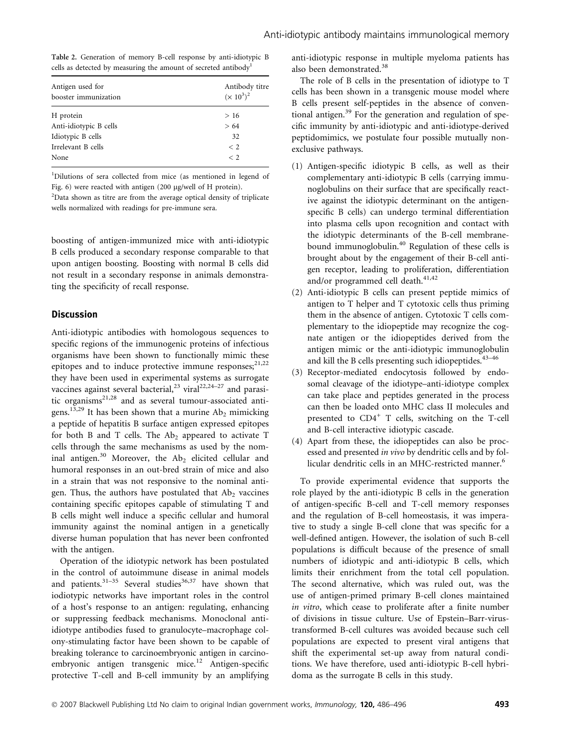|  |                                                                             |  | Table 2. Generation of memory B-cell response by anti-idiotypic B |  |
|--|-----------------------------------------------------------------------------|--|-------------------------------------------------------------------|--|
|  | cells as detected by measuring the amount of secreted antibody <sup>1</sup> |  |                                                                   |  |

| Antigen used for<br>booster immunization | Antibody titre<br>$(x 10^3)^2$ |
|------------------------------------------|--------------------------------|
| H protein                                | >16                            |
| Anti-idiotypic B cells                   | > 64                           |
| Idiotypic B cells                        | 32                             |
| Irrelevant B cells                       | < 2                            |
| None                                     | $\langle$ 2                    |

<sup>1</sup>Dilutions of sera collected from mice (as mentioned in legend of Fig. 6) were reacted with antigen (200 µg/well of H protein).

<sup>2</sup>Data shown as titre are from the average optical density of triplicate wells normalized with readings for pre-immune sera.

boosting of antigen-immunized mice with anti-idiotypic B cells produced a secondary response comparable to that upon antigen boosting. Boosting with normal B cells did not result in a secondary response in animals demonstrating the specificity of recall response.

# **Discussion**

Anti-idiotypic antibodies with homologous sequences to specific regions of the immunogenic proteins of infectious organisms have been shown to functionally mimic these epitopes and to induce protective immune responses; $21,22$ they have been used in experimental systems as surrogate vaccines against several bacterial,<sup>23</sup> viral<sup>22,24-27</sup> and parasitic organisms $^{21,28}$  and as several tumour-associated antigens.<sup>13,29</sup> It has been shown that a murine  $Ab_2$  mimicking a peptide of hepatitis B surface antigen expressed epitopes for both B and T cells. The  $Ab_2$  appeared to activate T cells through the same mechanisms as used by the nominal antigen.<sup>30</sup> Moreover, the Ab<sub>2</sub> elicited cellular and humoral responses in an out-bred strain of mice and also in a strain that was not responsive to the nominal antigen. Thus, the authors have postulated that  $Ab<sub>2</sub>$  vaccines containing specific epitopes capable of stimulating T and B cells might well induce a specific cellular and humoral immunity against the nominal antigen in a genetically diverse human population that has never been confronted with the antigen.

Operation of the idiotypic network has been postulated in the control of autoimmune disease in animal models and patients.<sup>31–35</sup> Several studies<sup>36,37</sup> have shown that iodiotypic networks have important roles in the control of a host's response to an antigen: regulating, enhancing or suppressing feedback mechanisms. Monoclonal antiidiotype antibodies fused to granulocyte–macrophage colony-stimulating factor have been shown to be capable of breaking tolerance to carcinoembryonic antigen in carcinoembryonic antigen transgenic mice.<sup>12</sup> Antigen-specific protective T-cell and B-cell immunity by an amplifying anti-idiotypic response in multiple myeloma patients has also been demonstrated.<sup>38</sup>

The role of B cells in the presentation of idiotype to T cells has been shown in a transgenic mouse model where B cells present self-peptides in the absence of conventional antigen.<sup>39</sup> For the generation and regulation of specific immunity by anti-idiotypic and anti-idiotype-derived peptidomimics, we postulate four possible mutually nonexclusive pathways.

- (1) Antigen-specific idiotypic B cells, as well as their complementary anti-idiotypic B cells (carrying immunoglobulins on their surface that are specifically reactive against the idiotypic determinant on the antigenspecific B cells) can undergo terminal differentiation into plasma cells upon recognition and contact with the idiotypic determinants of the B-cell membranebound immunoglobulin.<sup>40</sup> Regulation of these cells is brought about by the engagement of their B-cell antigen receptor, leading to proliferation, differentiation and/or programmed cell death.<sup>41,42</sup>
- (2) Anti-idiotypic B cells can present peptide mimics of antigen to T helper and T cytotoxic cells thus priming them in the absence of antigen. Cytotoxic T cells complementary to the idiopeptide may recognize the cognate antigen or the idiopeptides derived from the antigen mimic or the anti-idiotypic immunoglobulin and kill the B cells presenting such idiopeptides. $43-46$
- (3) Receptor-mediated endocytosis followed by endosomal cleavage of the idiotype–anti-idiotype complex can take place and peptides generated in the process can then be loaded onto MHC class II molecules and presented to CD4<sup>+</sup> T cells, switching on the T-cell and B-cell interactive idiotypic cascade.
- (4) Apart from these, the idiopeptides can also be processed and presented in vivo by dendritic cells and by follicular dendritic cells in an MHC-restricted manner.<sup>6</sup>

To provide experimental evidence that supports the role played by the anti-idiotypic B cells in the generation of antigen-specific B-cell and T-cell memory responses and the regulation of B-cell homeostasis, it was imperative to study a single B-cell clone that was specific for a well-defined antigen. However, the isolation of such B-cell populations is difficult because of the presence of small numbers of idiotypic and anti-idiotypic B cells, which limits their enrichment from the total cell population. The second alternative, which was ruled out, was the use of antigen-primed primary B-cell clones maintained in vitro, which cease to proliferate after a finite number of divisions in tissue culture. Use of Epstein–Barr-virustransformed B-cell cultures was avoided because such cell populations are expected to present viral antigens that shift the experimental set-up away from natural conditions. We have therefore, used anti-idiotypic B-cell hybridoma as the surrogate B cells in this study.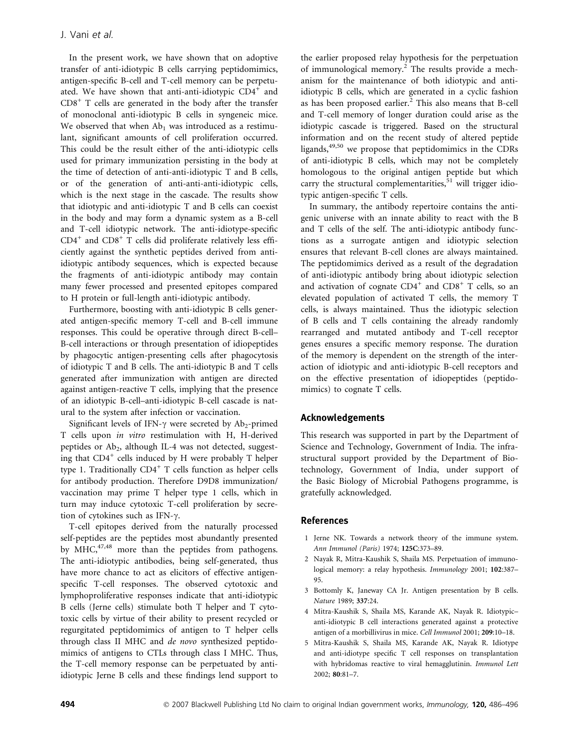In the present work, we have shown that on adoptive transfer of anti-idiotypic B cells carrying peptidomimics, antigen-specific B-cell and T-cell memory can be perpetuated. We have shown that anti-anti-idiotypic CD4<sup>+</sup> and CD8<sup>+</sup> T cells are generated in the body after the transfer of monoclonal anti-idiotypic B cells in syngeneic mice. We observed that when  $Ab<sub>1</sub>$  was introduced as a restimulant, significant amounts of cell proliferation occurred. This could be the result either of the anti-idiotypic cells used for primary immunization persisting in the body at the time of detection of anti-anti-idiotypic T and B cells, or of the generation of anti-anti-anti-idiotypic cells, which is the next stage in the cascade. The results show that idiotypic and anti-idiotypic T and B cells can coexist in the body and may form a dynamic system as a B-cell and T-cell idiotypic network. The anti-idiotype-specific CD4<sup>+</sup> and CD8<sup>+</sup> T cells did proliferate relatively less efficiently against the synthetic peptides derived from antiidiotypic antibody sequences, which is expected because the fragments of anti-idiotypic antibody may contain many fewer processed and presented epitopes compared to H protein or full-length anti-idiotypic antibody.

Furthermore, boosting with anti-idiotypic B cells generated antigen-specific memory T-cell and B-cell immune responses. This could be operative through direct B-cell– B-cell interactions or through presentation of idiopeptides by phagocytic antigen-presenting cells after phagocytosis of idiotypic T and B cells. The anti-idiotypic B and T cells generated after immunization with antigen are directed against antigen-reactive T cells, implying that the presence of an idiotypic B-cell–anti-idiotypic B-cell cascade is natural to the system after infection or vaccination.

Significant levels of IFN- $\gamma$  were secreted by Ab<sub>2</sub>-primed T cells upon in vitro restimulation with H, H-derived peptides or Ab<sub>2</sub>, although IL-4 was not detected, suggesting that CD4<sup>+</sup> cells induced by H were probably T helper type 1. Traditionally CD4<sup>+</sup> T cells function as helper cells for antibody production. Therefore D9D8 immunization/ vaccination may prime T helper type 1 cells, which in turn may induce cytotoxic T-cell proliferation by secretion of cytokines such as IFN- $\gamma$ .

T-cell epitopes derived from the naturally processed self-peptides are the peptides most abundantly presented by  $MHC<sub>2</sub><sup>47,48</sup>$  more than the peptides from pathogens. The anti-idiotypic antibodies, being self-generated, thus have more chance to act as elicitors of effective antigenspecific T-cell responses. The observed cytotoxic and lymphoproliferative responses indicate that anti-idiotypic B cells (Jerne cells) stimulate both T helper and T cytotoxic cells by virtue of their ability to present recycled or regurgitated peptidomimics of antigen to T helper cells through class II MHC and de novo synthesized peptidomimics of antigens to CTLs through class I MHC. Thus, the T-cell memory response can be perpetuated by antiidiotypic Jerne B cells and these findings lend support to the earlier proposed relay hypothesis for the perpetuation of immunological memory.<sup>2</sup> The results provide a mechanism for the maintenance of both idiotypic and antiidiotypic B cells, which are generated in a cyclic fashion as has been proposed earlier.<sup>2</sup> This also means that B-cell and T-cell memory of longer duration could arise as the idiotypic cascade is triggered. Based on the structural information and on the recent study of altered peptide ligands,49,50 we propose that peptidomimics in the CDRs of anti-idiotypic B cells, which may not be completely homologous to the original antigen peptide but which carry the structural complementarities,  $51$  will trigger idiotypic antigen-specific T cells.

In summary, the antibody repertoire contains the antigenic universe with an innate ability to react with the B and T cells of the self. The anti-idiotypic antibody functions as a surrogate antigen and idiotypic selection ensures that relevant B-cell clones are always maintained. The peptidomimics derived as a result of the degradation of anti-idiotypic antibody bring about idiotypic selection and activation of cognate  $CD4^+$  and  $CD8^+$  T cells, so an elevated population of activated T cells, the memory T cells, is always maintained. Thus the idiotypic selection of B cells and T cells containing the already randomly rearranged and mutated antibody and T-cell receptor genes ensures a specific memory response. The duration of the memory is dependent on the strength of the interaction of idiotypic and anti-idiotypic B-cell receptors and on the effective presentation of idiopeptides (peptidomimics) to cognate T cells.

# Acknowledgements

This research was supported in part by the Department of Science and Technology, Government of India. The infrastructural support provided by the Department of Biotechnology, Government of India, under support of the Basic Biology of Microbial Pathogens programme, is gratefully acknowledged.

#### References

- 1 Jerne NK. Towards a network theory of the immune system. Ann Immunol (Paris) 1974; 125C:373–89.
- 2 Nayak R, Mitra-Kaushik S, Shaila MS. Perpetuation of immunological memory: a relay hypothesis. Immunology 2001; 102:387– 95.
- 3 Bottomly K, Janeway CA Jr. Antigen presentation by B cells. Nature 1989; 337:24.
- 4 Mitra-Kaushik S, Shaila MS, Karande AK, Nayak R. Idiotypic– anti-idiotypic B cell interactions generated against a protective antigen of a morbillivirus in mice. Cell Immunol 2001; 209:10–18.
- 5 Mitra-Kaushik S, Shaila MS, Karande AK, Nayak R. Idiotype and anti-idiotype specific T cell responses on transplantation with hybridomas reactive to viral hemagglutinin. Immunol Lett 2002; 80:81–7.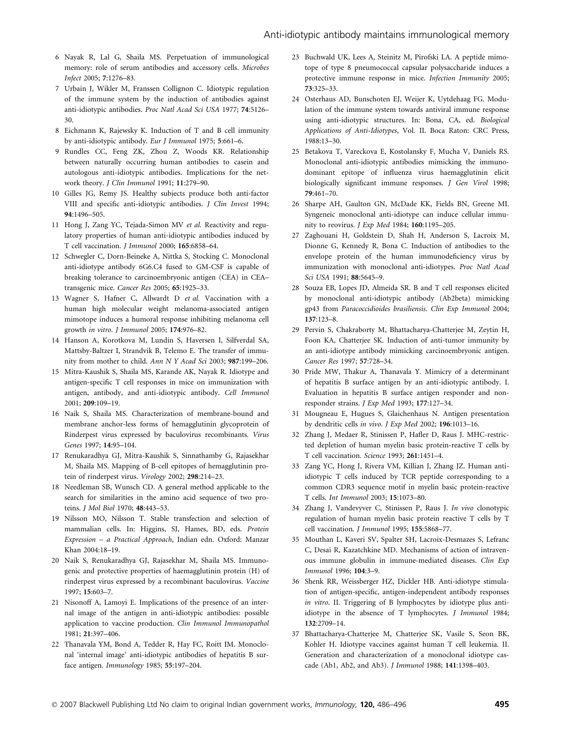- 6 Nayak R, Lal G, Shaila MS. Perpetuation of immunological memory: role of serum antibodies and accessory cells. Microbes Infect 2005; 7:1276–83.
- 7 Urbain J, Wikler M, Franssen Collignon C. Idiotypic regulation of the immune system by the induction of antibodies against anti-idiotypic antibodies. Proc Natl Acad Sci USA 1977; 74:5126– 30.
- 8 Eichmann K, Rajewsky K. Induction of T and B cell immunity by anti-idiotypic antibody. Eur J Immunol 1975; 5:661–6.
- 9 Rundles CC, Feng ZK, Zhou Z, Woods KR. Relationship between naturally occurring human antibodies to casein and autologous anti-idiotypic antibodies. Implications for the network theory. J Clin Immunol 1991; 11:279–90.
- 10 Gilles JG, Remy JS. Healthy subjects produce both anti-factor VIII and specific anti-idiotypic antibodies. J Clin Invest 1994; 94:1496–505.
- 11 Hong J, Zang YC, Tejada-Simon MV et al. Reactivity and regulatory properties of human anti-idiotypic antibodies induced by T cell vaccination. J Immunol 2000; 165:6858–64.
- 12 Schwegler C, Dorn-Beineke A, Nittka S, Stocking C. Monoclonal anti-idiotype antibody 6G6.C4 fused to GM-CSF is capable of breaking tolerance to carcinoembryonic antigen (CEA) in CEA– transgenic mice. Cancer Res 2005; 65:1925–33.
- 13 Wagner S, Hafner C, Allwardt D et al. Vaccination with a human high molecular weight melanoma-associated antigen mimotope induces a humoral response inhibiting melanoma cell growth in vitro. J Immunol 2005; 174:976–82.
- 14 Hanson A, Korotkova M, Lundin S, Haversen I, Silfverdal SA, Mattsby-Baltzer I, Strandvik B, Telemo E. The transfer of immunity from mother to child. Ann N Y Acad Sci 2003; 987:199–206.
- 15 Mitra-Kaushik S, Shaila MS, Karande AK, Nayak R. Idiotype and antigen-specific T cell responses in mice on immunization with antigen, antibody, and anti-idiotypic antibody. Cell Immunol 2001; 209:109–19.
- 16 Naik S, Shaila MS. Characterization of membrane-bound and membrane anchor-less forms of hemagglutinin glycoprotein of Rinderpest virus expressed by baculovirus recombinants. Virus Genes 1997; 14:95–104.
- 17 Renukaradhya GJ, Mitra-Kaushik S, Sinnathamby G, Rajasekhar M, Shaila MS. Mapping of B-cell epitopes of hemagglutinin protein of rinderpest virus. Virology 2002; 298:214–23.
- 18 Needleman SB, Wunsch CD. A general method applicable to the search for similarities in the amino acid sequence of two proteins. J Mol Biol 1970; 48:443–53.
- 19 Nilsson MO, Nilsson T. Stable transfection and selection of mammalian cells. In: Higgins, SJ, Hames, BD, eds. Protein Expression – a Practical Approach, Indian edn. Oxford: Manzar Khan 2004:18–19.
- 20 Naik S, Renukaradhya GJ, Rajasekhar M, Shaila MS. Immunogenic and protective properties of haemagglutinin protein (H) of rinderpest virus expressed by a recombinant baculovirus. Vaccine 1997; 15:603–7.
- 21 Nisonoff A, Lamoyi E. Implications of the presence of an internal image of the antigen in anti-idiotypic antibodies: possible application to vaccine production. Clin Immunol Immunopathol 1981; 21:397–406.
- 22 Thanavala YM, Bond A, Tedder R, Hay FC, Roitt IM. Monoclonal 'internal image' anti-idiotypic antibodies of hepatitis B surface antigen. Immunology 1985; 55:197–204.
- 23 Buchwald UK, Lees A, Steinitz M, Pirofski LA. A peptide mimotope of type 8 pneumococcal capsular polysaccharide induces a protective immune response in mice. Infection Immunity 2005; 73:325–33.
- 24 Osterhaus AD, Bunschoten EJ, Weijer K, Uytdehaag FG. Modulation of the immune system towards antiviral immune response using anti-idiotypic structures. In: Bona, CA, ed. Biological Applications of Anti-Idiotypes, Vol. II. Boca Raton: CRC Press, 1988:13–30.
- 25 Betakova T, Vareckova E, Kostolansky F, Mucha V, Daniels RS. Monoclonal anti-idiotypic antibodies mimicking the immunodominant epitope of influenza virus haemagglutinin elicit biologically significant immune responses. J Gen Virol 1998; 79:461–70.
- 26 Sharpe AH, Gaulton GN, McDade KK, Fields BN, Greene MI. Syngeneic monoclonal anti-idiotype can induce cellular immunity to reovirus. J Exp Med 1984; 160:1195–205.
- 27 Zaghouani H, Goldstein D, Shah H, Anderson S, Lacroix M, Dionne G, Kennedy R, Bona C. Induction of antibodies to the envelope protein of the human immunodeficiency virus by immunization with monoclonal anti-idiotypes. Proc Natl Acad Sci USA 1991; 88:5645–9.
- 28 Souza EB, Lopes JD, Almeida SR. B and T cell responses elicited by monoclonal anti-idiotypic antibody (Ab2beta) mimicking gp43 from Paracoccidioides brasiliensis. Clin Exp Immunol 2004; 137:123–8.
- 29 Pervin S, Chakraborty M, Bhattacharya-Chatterjee M, Zeytin H, Foon KA, Chatterjee SK. Induction of anti-tumor immunity by an anti-idiotype antibody mimicking carcinoembryonic antigen. Cancer Res 1997; 57:728–34.
- 30 Pride MW, Thakur A, Thanavala Y. Mimicry of a determinant of hepatitis B surface antigen by an anti-idiotypic antibody. I. Evaluation in hepatitis B surface antigen responder and nonresponder strains. J Exp Med 1993; 177:127–34.
- 31 Mougneau E, Hugues S, Glaichenhaus N. Antigen presentation by dendritic cells in vivo. J Exp Med 2002; 196:1013–16.
- 32 Zhang J, Medaer R, Stinissen P, Hafler D, Raus J. MHC-restricted depletion of human myelin basic protein-reactive T cells by T cell vaccination. Science 1993; 261:1451–4.
- 33 Zang YC, Hong J, Rivera VM, Killian J, Zhang JZ. Human antiidiotypic T cells induced by TCR peptide corresponding to a common CDR3 sequence motif in myelin basic protein-reactive T cells. Int Immunol 2003; 15:1073–80.
- 34 Zhang J, Vandevyver C, Stinissen P, Raus J. In vivo clonotypic regulation of human myelin basic protein reactive T cells by T cell vaccination. J Immunol 1995; 155:5868–77.
- 35 Mouthan L, Kaveri SV, Spalter SH, Lacroix-Desmazes S, Lefranc C, Desai R, Kazatchkine MD. Mechanisms of action of intravenous immune globulin in immune-mediated diseases. Clin Exp Immunol 1996; 104:3–9.
- 36 Shenk RR, Weissberger HZ, Dickler HB. Anti-idiotype stimulation of antigen-specific, antigen-independent antibody responses in vitro. II. Triggering of B lymphocytes by idiotype plus antiidiotype in the absence of T lymphocytes. J Immunol 1984; 132:2709–14.
- 37 Bhattacharya-Chatterjee M, Chatterjee SK, Vasile S, Seon BK, Kohler H. Idiotype vaccines against human T cell leukemia. II. Generation and characterization of a monoclonal idiotype cascade (Ab1, Ab2, and Ab3). J Immunol 1988; 141:1398–403.